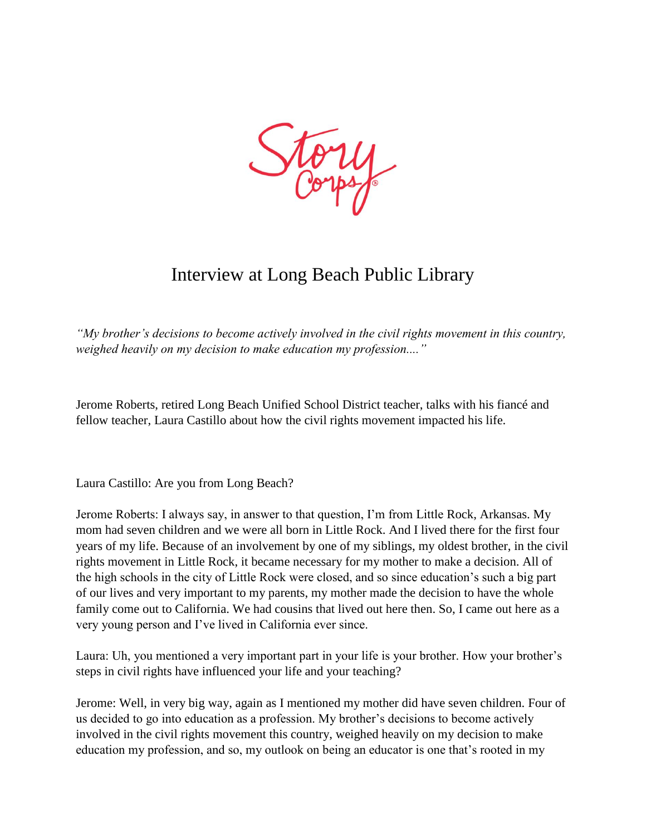

## Interview at Long Beach Public Library

*"My brother's decisions to become actively involved in the civil rights movement in this country, weighed heavily on my decision to make education my profession...."*

Jerome Roberts, retired Long Beach Unified School District teacher, talks with his fiancé and fellow teacher, Laura Castillo about how the civil rights movement impacted his life.

Laura Castillo: Are you from Long Beach?

Jerome Roberts: I always say, in answer to that question, I'm from Little Rock, Arkansas. My mom had seven children and we were all born in Little Rock. And I lived there for the first four years of my life. Because of an involvement by one of my siblings, my oldest brother, in the civil rights movement in Little Rock, it became necessary for my mother to make a decision. All of the high schools in the city of Little Rock were closed, and so since education's such a big part of our lives and very important to my parents, my mother made the decision to have the whole family come out to California. We had cousins that lived out here then. So, I came out here as a very young person and I've lived in California ever since.

Laura: Uh, you mentioned a very important part in your life is your brother. How your brother's steps in civil rights have influenced your life and your teaching?

Jerome: Well, in very big way, again as I mentioned my mother did have seven children. Four of us decided to go into education as a profession. My brother's decisions to become actively involved in the civil rights movement this country, weighed heavily on my decision to make education my profession, and so, my outlook on being an educator is one that's rooted in my